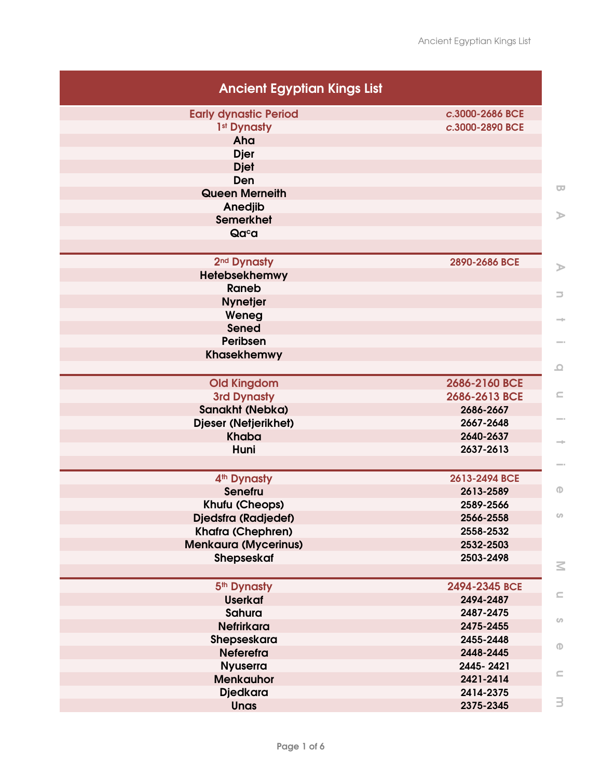| <b>Ancient Egyptian Kings List</b> |                 |
|------------------------------------|-----------------|
| <b>Early dynastic Period</b>       | c.3000-2686 BCE |
| 1 <sup>st</sup> Dynasty            | c.3000-2890 BCE |
| Aha                                |                 |
| <b>Djer</b>                        |                 |
| <b>Djet</b>                        |                 |
| Den                                |                 |
| <b>Queen Merneith</b>              |                 |
| Anedjib                            |                 |
| <b>Semerkhet</b>                   |                 |
| Qaca                               |                 |
| 2 <sup>nd</sup> Dynasty            | 2890-2686 BCE   |
| Hetebsekhemwy                      |                 |
| <b>Raneb</b>                       |                 |
| <b>Nynetjer</b>                    |                 |
| Weneg                              |                 |
| <b>Sened</b>                       |                 |
| Peribsen                           |                 |
| <b>Khasekhemwy</b>                 |                 |
| <b>Old Kingdom</b>                 | 2686-2160 BCE   |
| <b>3rd Dynasty</b>                 | 2686-2613 BCE   |
| Sanakht (Nebka)                    | 2686-2667       |
| Djeser (Netjerikhet)               | 2667-2648       |
| <b>Khaba</b>                       | 2640-2637       |
| Huni                               | 2637-2613       |
| 4 <sup>th</sup> Dynasty            | 2613-2494 BCE   |
| <b>Senefru</b>                     | 2613-2589       |
| Khufu (Cheops)                     | 2589-2566       |
| <b>Djedsfra (Radjedef)</b>         | 2566-2558       |
| <b>Khafra (Chephren)</b>           | 2558-2532       |
| <b>Menkaura (Mycerinus)</b>        | 2532-2503       |
| Shepseskaf                         | 2503-2498       |
| 5 <sup>th</sup> Dynasty            | 2494-2345 BCE   |
| <b>Userkaf</b>                     | 2494-2487       |
| <b>Sahura</b>                      | 2487-2475       |
| <b>Nefrirkara</b>                  | 2475-2455       |
| Shepseskara                        | 2455-2448       |
| <b>Neferefra</b>                   | 2448-2445       |
| <b>Nyuserra</b>                    | 2445-2421       |
| <b>Menkauhor</b>                   | 2421-2414       |
| <b>Djedkara</b>                    | 2414-2375       |
| <b>Unas</b>                        | 2375-2345       |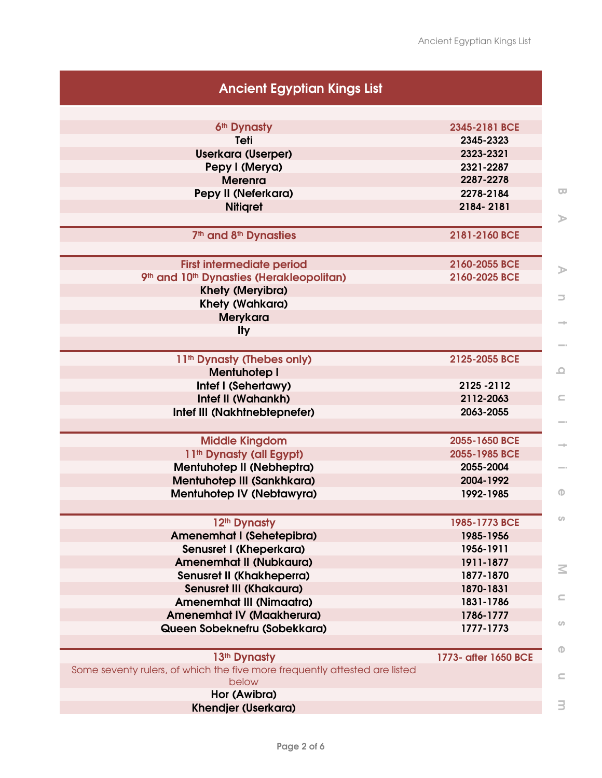| <b>Ancient Egyptian Kings List</b>                                                  |                      |
|-------------------------------------------------------------------------------------|----------------------|
| 6th Dynasty                                                                         | 2345-2181 BCE        |
| Teti                                                                                | 2345-2323            |
| <b>Userkara (Userper)</b>                                                           | 2323-2321            |
| Pepy I (Merya)                                                                      | 2321-2287            |
| <b>Merenra</b>                                                                      | 2287-2278            |
| Pepy II (Neferkara)                                                                 | 2278-2184            |
| <b>Nitigret</b>                                                                     | 2184-2181            |
|                                                                                     |                      |
| 7 <sup>th</sup> and 8 <sup>th</sup> Dynasties                                       | 2181-2160 BCE        |
| <b>First intermediate period</b>                                                    | 2160-2055 BCE        |
| 9th and 10th Dynasties (Herakleopolitan)                                            | 2160-2025 BCE        |
| <b>Khety (Meryibra)</b>                                                             |                      |
| <b>Khety (Wahkara)</b>                                                              |                      |
| <b>Merykara</b>                                                                     |                      |
| <b>Ity</b>                                                                          |                      |
| 11 <sup>th</sup> Dynasty (Thebes only)                                              | 2125-2055 BCE        |
| <b>Mentuhotep I</b>                                                                 |                      |
| Intef I (Sehertawy)                                                                 | 2125 - 2112          |
| Intef II (Wahankh)                                                                  | 2112-2063            |
| Intef III (Nakhtnebtepnefer)                                                        | 2063-2055            |
| <b>Middle Kingdom</b>                                                               | 2055-1650 BCE        |
| 11 <sup>th</sup> Dynasty (all Egypt)                                                | 2055-1985 BCE        |
| Mentuhotep II (Nebheptra)                                                           | 2055-2004            |
| Mentuhotep III (Sankhkara)                                                          | 2004-1992            |
| Mentuhotep IV (Nebtawyra)                                                           | 1992-1985            |
| 12 <sup>th</sup> Dynasty                                                            | 1985-1773 BCE        |
| Amenemhat I (Sehetepibra)                                                           | 1985-1956            |
| Senusret I (Kheperkara)                                                             | 1956-1911            |
| <b>Amenemhat II (Nubkaura)</b>                                                      | 1911-1877            |
| Senusret II (Khakheperra)                                                           | 1877-1870            |
| <b>Senusret III (Khakaura)</b>                                                      | 1870-1831            |
| <b>Amenemhat III (Nimaatra)</b>                                                     | 1831-1786            |
| <b>Amenemhat IV (Maakherura)</b>                                                    | 1786-1777            |
| Queen Sobeknefru (Sobekkara)                                                        | 1777-1773            |
| 13th Dynasty                                                                        | 1773- after 1650 BCE |
| Some seventy rulers, of which the five more frequently attested are listed<br>below |                      |
| Hor (Awibra)<br><b>Khendjer (Userkara)</b>                                          |                      |
|                                                                                     |                      |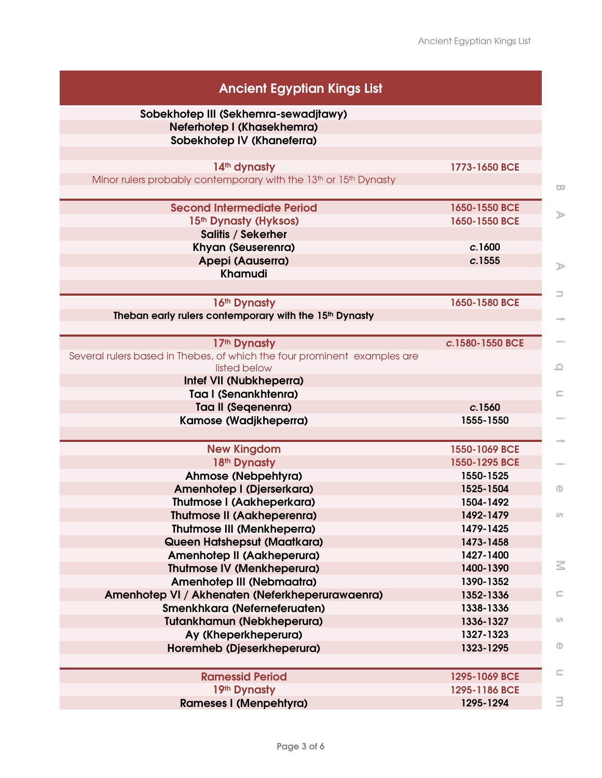| <b>Ancient Egyptian Kings List</b>                                                       |                 |  |
|------------------------------------------------------------------------------------------|-----------------|--|
| Sobekhotep III (Sekhemra-sewadjtawy)                                                     |                 |  |
| Neferhotep I (Khasekhemra)                                                               |                 |  |
| Sobekhotep IV (Khaneferra)                                                               |                 |  |
|                                                                                          |                 |  |
| 14th dynasty                                                                             | 1773-1650 BCE   |  |
| Minor rulers probably contemporary with the 13 <sup>th</sup> or 15 <sup>th</sup> Dynasty |                 |  |
| <b>Second Intermediate Period</b>                                                        | 1650-1550 BCE   |  |
| 15 <sup>th</sup> Dynasty (Hyksos)                                                        | 1650-1550 BCE   |  |
| <b>Salitis / Sekerher</b>                                                                |                 |  |
| Khyan (Seuserenra)                                                                       | c.1600          |  |
| Apepi (Aauserra)                                                                         | c.1555          |  |
| <b>Khamudi</b>                                                                           |                 |  |
|                                                                                          |                 |  |
| 16th Dynasty                                                                             | 1650-1580 BCE   |  |
| Theban early rulers contemporary with the 15th Dynasty                                   |                 |  |
|                                                                                          |                 |  |
| 17th Dynasty                                                                             | c.1580-1550 BCE |  |
| Several rulers based in Thebes, of which the four prominent examples are                 |                 |  |
| listed below                                                                             |                 |  |
| Intef VII (Nubkheperra)                                                                  |                 |  |
| Taa I (Senankhtenra)                                                                     |                 |  |
| <b>Taa II (Seqenenra)</b>                                                                | c.1560          |  |
| Kamose (Wadjkheperra)                                                                    | 1555-1550       |  |
|                                                                                          | 1550-1069 BCE   |  |
| <b>New Kingdom</b><br>18th Dynasty                                                       | 1550-1295 BCE   |  |
| Ahmose (Nebpehtyra)                                                                      | 1550-1525       |  |
| Amenhotep I (Djerserkara)                                                                | 1525-1504       |  |
| <b>Thutmose I (Aakheperkara)</b>                                                         | 1504-1492       |  |
| <b>Thutmose II (Aakheperenra)</b>                                                        | 1492-1479       |  |
| <b>Thutmose III (Menkheperra)</b>                                                        | 1479-1425       |  |
| Queen Hatshepsut (Maatkara)                                                              | 1473-1458       |  |
| Amenhotep II (Aakheperura)                                                               | 1427-1400       |  |
| <b>Thutmose IV (Menkheperura)</b>                                                        | 1400-1390       |  |
| Amenhotep III (Nebmaatra)                                                                | 1390-1352       |  |
| Amenhotep VI / Akhenaten (Neferkheperurawaenra)                                          | 1352-1336       |  |
| Smenkhkara (Neferneferuaten)                                                             | 1338-1336       |  |
| <b>Tutankhamun (Nebkheperura)</b>                                                        | 1336-1327       |  |
| Ay (Kheperkheperura)                                                                     | 1327-1323       |  |
| Horemheb (Djeserkheperura)                                                               | 1323-1295       |  |
|                                                                                          |                 |  |
| <b>Ramessid Period</b>                                                                   | 1295-1069 BCE   |  |
| 19th Dynasty                                                                             | 1295-1186 BCE   |  |
| <b>Rameses I (Menpehtyra)</b>                                                            | 1295-1294       |  |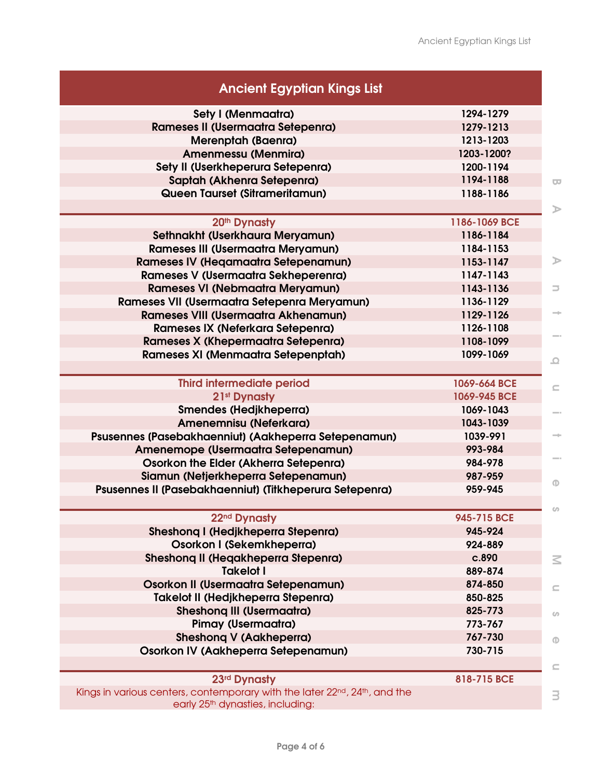| <b>Ancient Egyptian Kings List</b>                                                                                        |               |
|---------------------------------------------------------------------------------------------------------------------------|---------------|
| Sety I (Menmaatra)                                                                                                        | 1294-1279     |
| <b>Rameses II (Usermaatra Setepenra)</b>                                                                                  | 1279-1213     |
| <b>Merenptah (Baenra)</b>                                                                                                 | 1213-1203     |
| Amenmessu (Menmira)                                                                                                       | 1203-1200?    |
| Sety II (Userkheperura Setepenra)                                                                                         | 1200-1194     |
| Saptah (Akhenra Setepenra)                                                                                                | 1194-1188     |
| Queen Taurset (Sitrameritamun)                                                                                            | 1188-1186     |
| 20 <sup>th</sup> Dynasty                                                                                                  | 1186-1069 BCE |
| Sethnakht (Userkhaura Meryamun)                                                                                           | 1186-1184     |
| <b>Rameses III (Usermaatra Meryamun)</b>                                                                                  | 1184-1153     |
| <b>Rameses IV (Hegamaatra Setepenamun)</b>                                                                                | 1153-1147     |
| Rameses V (Usermaatra Sekheperenra)                                                                                       | 1147-1143     |
| <b>Rameses VI (Nebmaatra Meryamun)</b>                                                                                    | 1143-1136     |
| Rameses VII (Usermaatra Setepenra Meryamun)                                                                               | 1136-1129     |
| <b>Rameses VIII (Usermaatra Akhenamun)</b>                                                                                | 1129-1126     |
| Rameses IX (Neferkara Setepenra)                                                                                          | 1126-1108     |
| Rameses X (Khepermaatra Setepenra)                                                                                        | 1108-1099     |
| Rameses XI (Menmaatra Setepenptah)                                                                                        | 1099-1069     |
|                                                                                                                           |               |
| <b>Third intermediate period</b>                                                                                          | 1069-664 BCE  |
| 21 <sup>st</sup> Dynasty                                                                                                  | 1069-945 BCE  |
| Smendes (Hedjkheperra)                                                                                                    | 1069-1043     |
| Amenemnisu (Neferkara)                                                                                                    | 1043-1039     |
| Psusennes (Pasebakhaenniut) (Aakheperra Setepenamun)                                                                      | 1039-991      |
| Amenemope (Usermaatra Setepenamun)                                                                                        | 993-984       |
| Osorkon the Elder (Akherra Setepenra)                                                                                     | 984-978       |
| Siamun (Netjerkheperra Setepenamun)                                                                                       | 987-959       |
| Psusennes II (Pasebakhaenniut) (Titkheperura Setepenra)                                                                   | 959-945       |
| 22 <sup>nd</sup> Dynasty                                                                                                  | 945-715 BCE   |
| Sheshong I (Hedjkheperra Stepenra)                                                                                        | 945-924       |
| Osorkon I (Sekemkheperra)                                                                                                 | 924-889       |
| Sheshong II (Hegakheperra Stepenra)                                                                                       | c.890         |
| <b>Takelot I</b>                                                                                                          | 889-874       |
| Osorkon II (Usermaatra Setepenamun)                                                                                       | 874-850       |
| <b>Takelot II (Hedjkheperra Stepenra)</b>                                                                                 | 850-825       |
| <b>Sheshong III (Usermaatra)</b>                                                                                          | 825-773       |
| <b>Pimay (Usermaatra)</b>                                                                                                 | 773-767       |
| <b>Sheshong V (Aakheperra)</b>                                                                                            | 767-730       |
| Osorkon IV (Aakheperra Setepenamun)                                                                                       | 730-715       |
|                                                                                                                           |               |
| 23rd Dynasty                                                                                                              | 818-715 BCE   |
| Kings in various centers, contemporary with the later 22nd, 24th, and the<br>early 25 <sup>th</sup> dynasties, including: |               |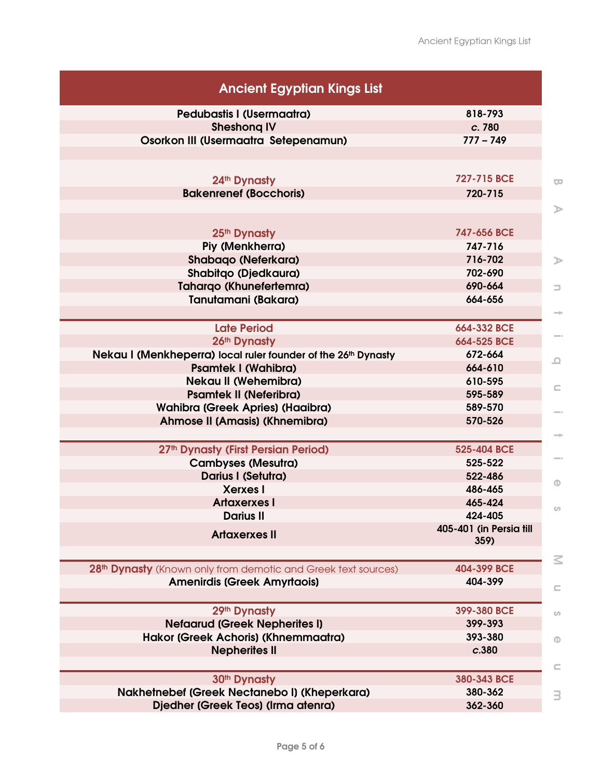| <b>Ancient Egyptian Kings List</b>                                                                              |                                 |
|-----------------------------------------------------------------------------------------------------------------|---------------------------------|
| <b>Pedubastis I (Usermaatra)</b>                                                                                | 818-793                         |
| <b>Sheshong IV</b>                                                                                              | c. 780                          |
| Osorkon III (Usermaatra Setepenamun)                                                                            | $777 - 749$                     |
|                                                                                                                 |                                 |
| 24 <sup>th</sup> Dynasty                                                                                        | 727-715 BCE                     |
| <b>Bakenrenef (Bocchoris)</b>                                                                                   | 720-715                         |
|                                                                                                                 |                                 |
| 25 <sup>th</sup> Dynasty                                                                                        | 747-656 BCE                     |
| Piy (Menkherra)                                                                                                 | 747-716                         |
| <b>Shabaqo (Neferkara)</b>                                                                                      | 716-702                         |
| <b>Shabitgo (Djedkaura)</b>                                                                                     | 702-690                         |
| <b>Tahargo (Khunefertemra)</b>                                                                                  | 690-664                         |
| Tanutamani (Bakara)                                                                                             | 664-656                         |
|                                                                                                                 |                                 |
| <b>Late Period</b>                                                                                              | 664-332 BCE                     |
| 26th Dynasty                                                                                                    | 664-525 BCE                     |
| Nekau I (Menkheperra) local ruler founder of the 26th Dynasty                                                   | 672-664                         |
| <b>Psamtek I (Wahibra)</b>                                                                                      | 664-610                         |
| <b>Nekau II (Wehemibra)</b>                                                                                     | 610-595                         |
| <b>Psamtek II (Neferibra)</b>                                                                                   | 595-589                         |
| Wahibra (Greek Apries) (Haaibra)                                                                                | 589-570                         |
| Ahmose II (Amasis) (Khnemibra)                                                                                  | 570-526                         |
| 27 <sup>th</sup> Dynasty (First Persian Period)                                                                 | 525-404 BCE                     |
| <b>Cambyses (Mesutra)</b>                                                                                       | 525-522                         |
| Darius I (Setutra)                                                                                              | 522-486                         |
| <b>Xerxes I</b>                                                                                                 | 486-465                         |
| <b>Artaxerxes I</b>                                                                                             | 465-424                         |
| <b>Darius II</b>                                                                                                | 424-405                         |
| <b>Artaxerxes II</b>                                                                                            | 405-401 (in Persia till<br>359) |
|                                                                                                                 |                                 |
| 28 <sup>th</sup> Dynasty (Known only from demotic and Greek text sources)<br><b>Amenirdis (Greek Amyrtaois)</b> | 404-399 BCE<br>404-399          |
|                                                                                                                 |                                 |
| 29th Dynasty                                                                                                    | 399-380 BCE                     |
| <b>Nefaarud (Greek Nepherites I)</b>                                                                            | 399-393                         |
|                                                                                                                 | 393-380                         |
| Hakor (Greek Achoris) (Khnemmaatra)                                                                             |                                 |
| <b>Nepherites II</b>                                                                                            | c.380                           |
|                                                                                                                 |                                 |
| 30 <sup>th</sup> Dynasty<br>Nakhetnebef (Greek Nectanebo I) (Kheperkara)                                        | 380-343 BCE<br>380-362          |